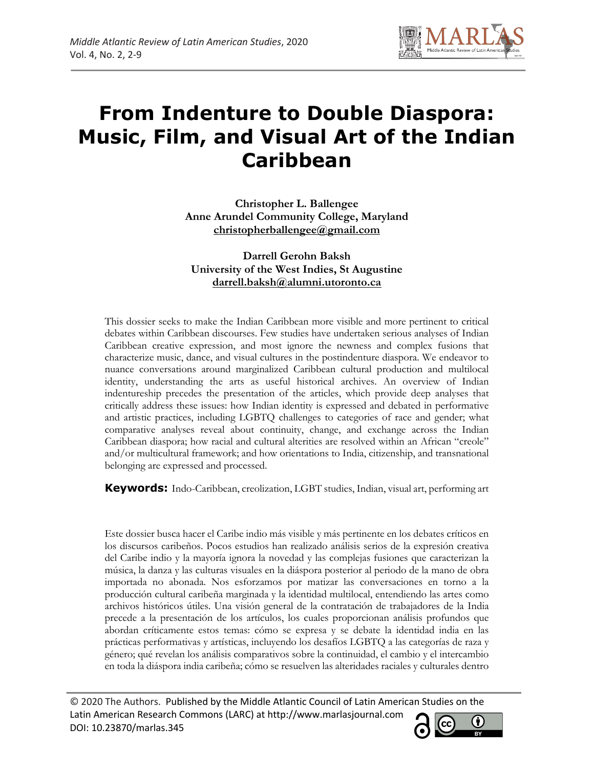

# **From Indenture to Double Diaspora: Music, Film, and Visual Art of the Indian Caribbean**

**Christopher L. Ballengee Anne Arundel Community College, Maryland christopherballengee@gmail.com**

**Darrell Gerohn Baksh University of the West Indies, St Augustine darrell.baksh@alumni.utoronto.ca**

This dossier seeks to make the Indian Caribbean more visible and more pertinent to critical debates within Caribbean discourses. Few studies have undertaken serious analyses of Indian Caribbean creative expression, and most ignore the newness and complex fusions that characterize music, dance, and visual cultures in the postindenture diaspora. We endeavor to nuance conversations around marginalized Caribbean cultural production and multilocal identity, understanding the arts as useful historical archives. An overview of Indian indentureship precedes the presentation of the articles, which provide deep analyses that critically address these issues: how Indian identity is expressed and debated in performative and artistic practices, including LGBTQ challenges to categories of race and gender; what comparative analyses reveal about continuity, change, and exchange across the Indian Caribbean diaspora; how racial and cultural alterities are resolved within an African "creole" and/or multicultural framework; and how orientations to India, citizenship, and transnational belonging are expressed and processed.

**Keywords:** Indo-Caribbean, creolization, LGBT studies, Indian, visual art, performing art

Este dossier busca hacer el Caribe indio más visible y más pertinente en los debates críticos en los discursos caribeños. Pocos estudios han realizado análisis serios de la expresión creativa del Caribe indio y la mayoría ignora la novedad y las complejas fusiones que caracterizan la música, la danza y las culturas visuales en la diáspora posterior al periodo de la mano de obra importada no abonada. Nos esforzamos por matizar las conversaciones en torno a la producción cultural caribeña marginada y la identidad multilocal, entendiendo las artes como archivos históricos útiles. Una visión general de la contratación de trabajadores de la India precede a la presentación de los artículos, los cuales proporcionan análisis profundos que abordan críticamente estos temas: cómo se expresa y se debate la identidad india en las prácticas performativas y artísticas, incluyendo los desafíos LGBTQ a las categorías de raza y género; qué revelan los análisis comparativos sobre la continuidad, el cambio y el intercambio en toda la diáspora india caribeña; cómo se resuelven las alteridades raciales y culturales dentro

© 2020 The Authors. Published by the Middle Atlantic Council of Latin American Studies on the Latin American Research Commons (LARC) at http://www.marlasjournal.com **CC** DOI: 10.23870/marlas.345

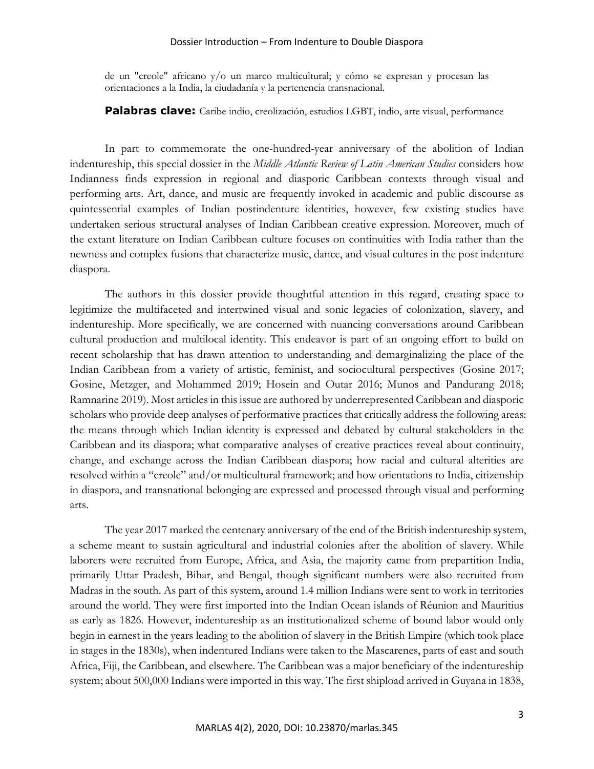#### Dossier Introduction – From Indenture to Double Diaspora

de un "creole" africano y/o un marco multicultural; y cómo se expresan y procesan las orientaciones a la India, la ciudadanía y la pertenencia transnacional.

**Palabras clave:** Caribe indio, creolización, estudios LGBT, indio, arte visual, performance

In part to commemorate the one-hundred-year anniversary of the abolition of Indian indentureship, this special dossier in the *Middle Atlantic Review of Latin American Studies* considers how Indianness finds expression in regional and diasporic Caribbean contexts through visual and performing arts. Art, dance, and music are frequently invoked in academic and public discourse as quintessential examples of Indian postindenture identities, however, few existing studies have undertaken serious structural analyses of Indian Caribbean creative expression. Moreover, much of the extant literature on Indian Caribbean culture focuses on continuities with India rather than the newness and complex fusions that characterize music, dance, and visual cultures in the post indenture diaspora.

The authors in this dossier provide thoughtful attention in this regard, creating space to legitimize the multifaceted and intertwined visual and sonic legacies of colonization, slavery, and indentureship. More specifically, we are concerned with nuancing conversations around Caribbean cultural production and multilocal identity. This endeavor is part of an ongoing effort to build on recent scholarship that has drawn attention to understanding and demarginalizing the place of the Indian Caribbean from a variety of artistic, feminist, and sociocultural perspectives (Gosine 2017; Gosine, Metzger, and Mohammed 2019; Hosein and Outar 2016; Munos and Pandurang 2018; Ramnarine 2019). Most articles in this issue are authored by underrepresented Caribbean and diasporic scholars who provide deep analyses of performative practices that critically address the following areas: the means through which Indian identity is expressed and debated by cultural stakeholders in the Caribbean and its diaspora; what comparative analyses of creative practices reveal about continuity, change, and exchange across the Indian Caribbean diaspora; how racial and cultural alterities are resolved within a "creole" and/or multicultural framework; and how orientations to India, citizenship in diaspora, and transnational belonging are expressed and processed through visual and performing arts.

The year 2017 marked the centenary anniversary of the end of the British indentureship system, a scheme meant to sustain agricultural and industrial colonies after the abolition of slavery. While laborers were recruited from Europe, Africa, and Asia, the majority came from prepartition India, primarily Uttar Pradesh, Bihar, and Bengal, though significant numbers were also recruited from Madras in the south. As part of this system, around 1.4 million Indians were sent to work in territories around the world. They were first imported into the Indian Ocean islands of Réunion and Mauritius as early as 1826. However, indentureship as an institutionalized scheme of bound labor would only begin in earnest in the years leading to the abolition of slavery in the British Empire (which took place in stages in the 1830s), when indentured Indians were taken to the Mascarenes, parts of east and south Africa, Fiji, the Caribbean, and elsewhere. The Caribbean was a major beneficiary of the indentureship system; about 500,000 Indians were imported in this way. The first shipload arrived in Guyana in 1838,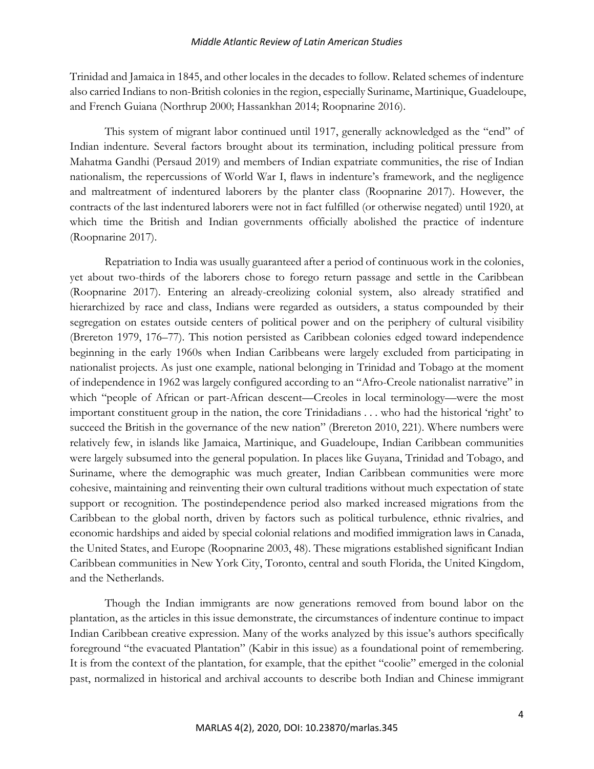#### *Middle Atlantic Review of Latin American Studies*

Trinidad and Jamaica in 1845, and other locales in the decades to follow. Related schemes of indenture also carried Indians to non-British colonies in the region, especially Suriname, Martinique, Guadeloupe, and French Guiana (Northrup 2000; Hassankhan 2014; Roopnarine 2016).

This system of migrant labor continued until 1917, generally acknowledged as the "end" of Indian indenture. Several factors brought about its termination, including political pressure from Mahatma Gandhi (Persaud 2019) and members of Indian expatriate communities, the rise of Indian nationalism, the repercussions of World War I, flaws in indenture's framework, and the negligence and maltreatment of indentured laborers by the planter class (Roopnarine 2017). However, the contracts of the last indentured laborers were not in fact fulfilled (or otherwise negated) until 1920, at which time the British and Indian governments officially abolished the practice of indenture (Roopnarine 2017).

Repatriation to India was usually guaranteed after a period of continuous work in the colonies, yet about two-thirds of the laborers chose to forego return passage and settle in the Caribbean (Roopnarine 2017). Entering an already-creolizing colonial system, also already stratified and hierarchized by race and class, Indians were regarded as outsiders, a status compounded by their segregation on estates outside centers of political power and on the periphery of cultural visibility (Brereton 1979, 176–77). This notion persisted as Caribbean colonies edged toward independence beginning in the early 1960s when Indian Caribbeans were largely excluded from participating in nationalist projects. As just one example, national belonging in Trinidad and Tobago at the moment of independence in 1962 was largely configured according to an "Afro-Creole nationalist narrative" in which "people of African or part-African descent—Creoles in local terminology—were the most important constituent group in the nation, the core Trinidadians . . . who had the historical 'right' to succeed the British in the governance of the new nation" (Brereton 2010, 221). Where numbers were relatively few, in islands like Jamaica, Martinique, and Guadeloupe, Indian Caribbean communities were largely subsumed into the general population. In places like Guyana, Trinidad and Tobago, and Suriname, where the demographic was much greater, Indian Caribbean communities were more cohesive, maintaining and reinventing their own cultural traditions without much expectation of state support or recognition. The postindependence period also marked increased migrations from the Caribbean to the global north, driven by factors such as political turbulence, ethnic rivalries, and economic hardships and aided by special colonial relations and modified immigration laws in Canada, the United States, and Europe (Roopnarine 2003, 48). These migrations established significant Indian Caribbean communities in New York City, Toronto, central and south Florida, the United Kingdom, and the Netherlands.

Though the Indian immigrants are now generations removed from bound labor on the plantation, as the articles in this issue demonstrate, the circumstances of indenture continue to impact Indian Caribbean creative expression. Many of the works analyzed by this issue's authors specifically foreground "the evacuated Plantation" (Kabir in this issue) as a foundational point of remembering. It is from the context of the plantation, for example, that the epithet "coolie" emerged in the colonial past, normalized in historical and archival accounts to describe both Indian and Chinese immigrant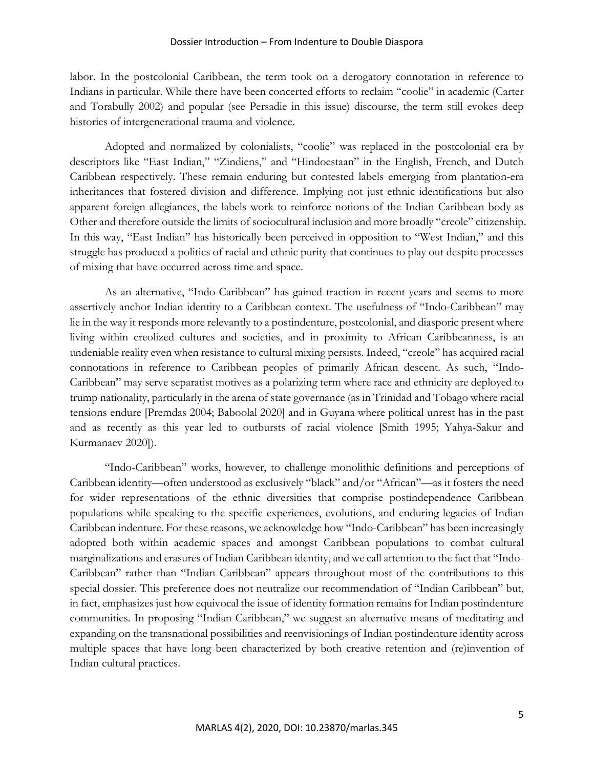#### Dossier Introduction – From Indenture to Double Diaspora

labor. In the postcolonial Caribbean, the term took on a derogatory connotation in reference to Indians in particular. While there have been concerted efforts to reclaim "coolie" in academic (Carter and Torabully 2002) and popular (see Persadie in this issue) discourse, the term still evokes deep histories of intergenerational trauma and violence.

Adopted and normalized by colonialists, "coolie" was replaced in the postcolonial era by descriptors like "East Indian," "Zindiens," and "Hindoestaan" in the English, French, and Dutch Caribbean respectively. These remain enduring but contested labels emerging from plantation-era inheritances that fostered division and difference. Implying not just ethnic identifications but also apparent foreign allegiances, the labels work to reinforce notions of the Indian Caribbean body as Other and therefore outside the limits of sociocultural inclusion and more broadly "creole" citizenship. In this way, "East Indian" has historically been perceived in opposition to "West Indian," and this struggle has produced a politics of racial and ethnic purity that continues to play out despite processes of mixing that have occurred across time and space.

As an alternative, "Indo-Caribbean" has gained traction in recent years and seems to more assertively anchor Indian identity to a Caribbean context. The usefulness of "Indo-Caribbean" may lie in the way it responds more relevantly to a postindenture, postcolonial, and diasporic present where living within creolized cultures and societies, and in proximity to African Caribbeanness, is an undeniable reality even when resistance to cultural mixing persists. Indeed, "creole" has acquired racial connotations in reference to Caribbean peoples of primarily African descent. As such, "Indo-Caribbean" may serve separatist motives as a polarizing term where race and ethnicity are deployed to trump nationality, particularly in the arena of state governance (as in Trinidad and Tobago where racial tensions endure [Premdas 2004; Baboolal 2020] and in Guyana where political unrest has in the past and as recently as this year led to outbursts of racial violence [Smith 1995; Yahya-Sakur and Kurmanaev 2020]).

"Indo-Caribbean" works, however, to challenge monolithic definitions and perceptions of Caribbean identity—often understood as exclusively "black" and/or "African"—as it fosters the need for wider representations of the ethnic diversities that comprise postindependence Caribbean populations while speaking to the specific experiences, evolutions, and enduring legacies of Indian Caribbean indenture. For these reasons, we acknowledge how "Indo-Caribbean" has been increasingly adopted both within academic spaces and amongst Caribbean populations to combat cultural marginalizations and erasures of Indian Caribbean identity, and we call attention to the fact that "Indo-Caribbean" rather than "Indian Caribbean" appears throughout most of the contributions to this special dossier. This preference does not neutralize our recommendation of "Indian Caribbean" but, in fact, emphasizes just how equivocal the issue of identity formation remains for Indian postindenture communities. In proposing "Indian Caribbean," we suggest an alternative means of meditating and expanding on the transnational possibilities and reenvisionings of Indian postindenture identity across multiple spaces that have long been characterized by both creative retention and (re)invention of Indian cultural practices.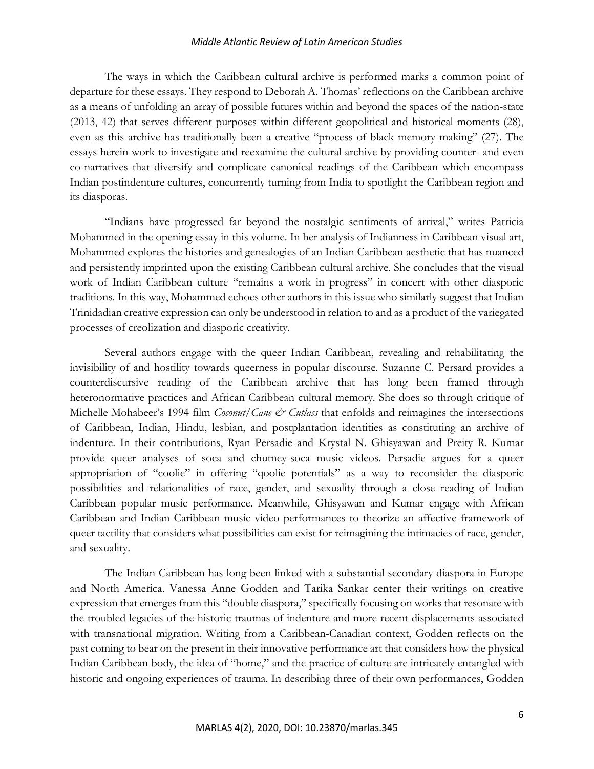#### *Middle Atlantic Review of Latin American Studies*

The ways in which the Caribbean cultural archive is performed marks a common point of departure for these essays. They respond to Deborah A. Thomas' reflections on the Caribbean archive as a means of unfolding an array of possible futures within and beyond the spaces of the nation-state (2013, 42) that serves different purposes within different geopolitical and historical moments (28), even as this archive has traditionally been a creative "process of black memory making" (27). The essays herein work to investigate and reexamine the cultural archive by providing counter- and even co-narratives that diversify and complicate canonical readings of the Caribbean which encompass Indian postindenture cultures, concurrently turning from India to spotlight the Caribbean region and its diasporas.

"Indians have progressed far beyond the nostalgic sentiments of arrival," writes Patricia Mohammed in the opening essay in this volume. In her analysis of Indianness in Caribbean visual art, Mohammed explores the histories and genealogies of an Indian Caribbean aesthetic that has nuanced and persistently imprinted upon the existing Caribbean cultural archive. She concludes that the visual work of Indian Caribbean culture "remains a work in progress" in concert with other diasporic traditions. In this way, Mohammed echoes other authors in this issue who similarly suggest that Indian Trinidadian creative expression can only be understood in relation to and as a product of the variegated processes of creolization and diasporic creativity.

Several authors engage with the queer Indian Caribbean, revealing and rehabilitating the invisibility of and hostility towards queerness in popular discourse. Suzanne C. Persard provides a counterdiscursive reading of the Caribbean archive that has long been framed through heteronormative practices and African Caribbean cultural memory. She does so through critique of Michelle Mohabeer's 1994 film *Coconut*/*Cane & Cutlass* that enfolds and reimagines the intersections of Caribbean, Indian, Hindu, lesbian, and postplantation identities as constituting an archive of indenture. In their contributions, Ryan Persadie and Krystal N. Ghisyawan and Preity R. Kumar provide queer analyses of soca and chutney-soca music videos. Persadie argues for a queer appropriation of "coolie" in offering "qoolie potentials" as a way to reconsider the diasporic possibilities and relationalities of race, gender, and sexuality through a close reading of Indian Caribbean popular music performance. Meanwhile, Ghisyawan and Kumar engage with African Caribbean and Indian Caribbean music video performances to theorize an affective framework of queer tactility that considers what possibilities can exist for reimagining the intimacies of race, gender, and sexuality.

The Indian Caribbean has long been linked with a substantial secondary diaspora in Europe and North America. Vanessa Anne Godden and Tarika Sankar center their writings on creative expression that emerges from this "double diaspora," specifically focusing on works that resonate with the troubled legacies of the historic traumas of indenture and more recent displacements associated with transnational migration. Writing from a Caribbean-Canadian context, Godden reflects on the past coming to bear on the present in their innovative performance art that considers how the physical Indian Caribbean body, the idea of "home," and the practice of culture are intricately entangled with historic and ongoing experiences of trauma. In describing three of their own performances, Godden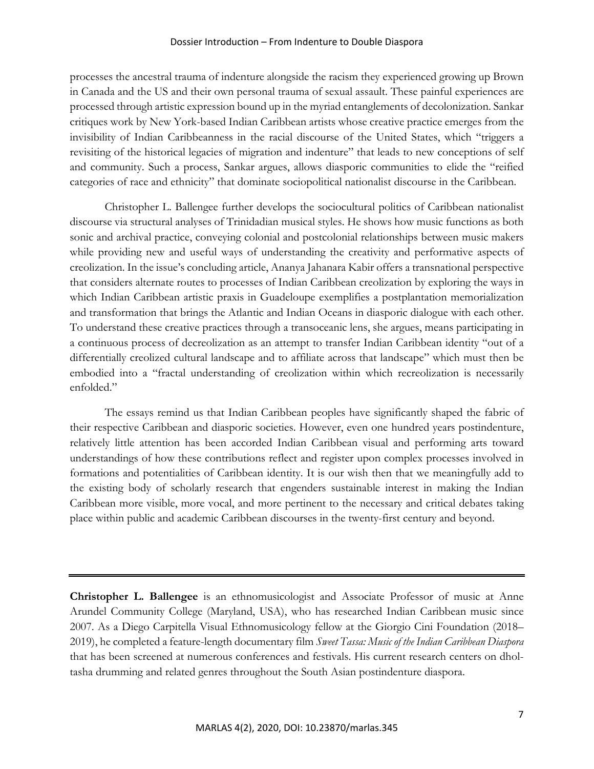#### Dossier Introduction – From Indenture to Double Diaspora

processes the ancestral trauma of indenture alongside the racism they experienced growing up Brown in Canada and the US and their own personal trauma of sexual assault. These painful experiences are processed through artistic expression bound up in the myriad entanglements of decolonization. Sankar critiques work by New York-based Indian Caribbean artists whose creative practice emerges from the invisibility of Indian Caribbeanness in the racial discourse of the United States, which "triggers a revisiting of the historical legacies of migration and indenture" that leads to new conceptions of self and community. Such a process, Sankar argues, allows diasporic communities to elide the "reified categories of race and ethnicity" that dominate sociopolitical nationalist discourse in the Caribbean.

Christopher L. Ballengee further develops the sociocultural politics of Caribbean nationalist discourse via structural analyses of Trinidadian musical styles. He shows how music functions as both sonic and archival practice, conveying colonial and postcolonial relationships between music makers while providing new and useful ways of understanding the creativity and performative aspects of creolization. In the issue's concluding article, Ananya Jahanara Kabir offers a transnational perspective that considers alternate routes to processes of Indian Caribbean creolization by exploring the ways in which Indian Caribbean artistic praxis in Guadeloupe exemplifies a postplantation memorialization and transformation that brings the Atlantic and Indian Oceans in diasporic dialogue with each other. To understand these creative practices through a transoceanic lens, she argues, means participating in a continuous process of decreolization as an attempt to transfer Indian Caribbean identity "out of a differentially creolized cultural landscape and to affiliate across that landscape" which must then be embodied into a "fractal understanding of creolization within which recreolization is necessarily enfolded."

The essays remind us that Indian Caribbean peoples have significantly shaped the fabric of their respective Caribbean and diasporic societies. However, even one hundred years postindenture, relatively little attention has been accorded Indian Caribbean visual and performing arts toward understandings of how these contributions reflect and register upon complex processes involved in formations and potentialities of Caribbean identity. It is our wish then that we meaningfully add to the existing body of scholarly research that engenders sustainable interest in making the Indian Caribbean more visible, more vocal, and more pertinent to the necessary and critical debates taking place within public and academic Caribbean discourses in the twenty-first century and beyond.

**Christopher L. Ballengee** is an ethnomusicologist and Associate Professor of music at Anne Arundel Community College (Maryland, USA), who has researched Indian Caribbean music since 2007. As a Diego Carpitella Visual Ethnomusicology fellow at the Giorgio Cini Foundation (2018– 2019), he completed a feature-length documentary film *Sweet Tassa: Music of the Indian Caribbean Diaspora*  that has been screened at numerous conferences and festivals. His current research centers on dholtasha drumming and related genres throughout the South Asian postindenture diaspora.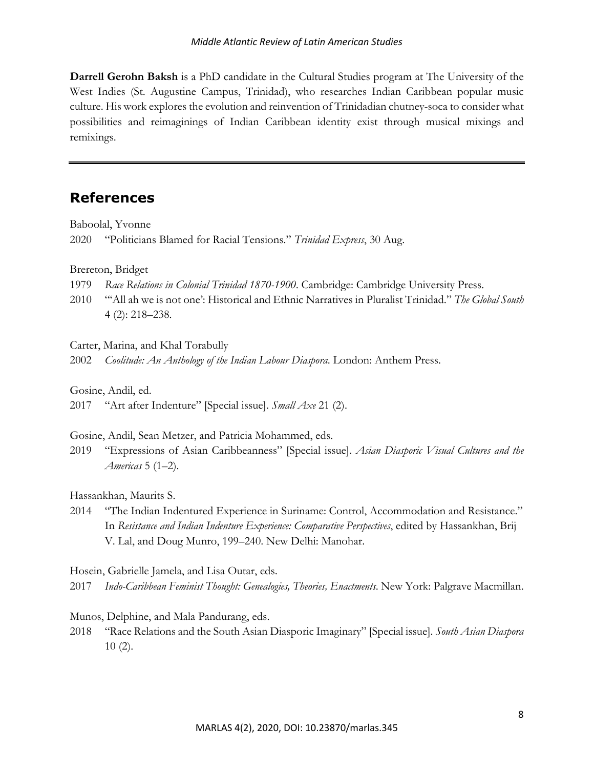**Darrell Gerohn Baksh** is a PhD candidate in the Cultural Studies program at The University of the West Indies (St. Augustine Campus, Trinidad), who researches Indian Caribbean popular music culture. His work explores the evolution and reinvention of Trinidadian chutney-soca to consider what possibilities and reimaginings of Indian Caribbean identity exist through musical mixings and remixings.

## **References**

Baboolal, Yvonne

2020 "Politicians Blamed for Racial Tensions." *Trinidad Express*, 30 Aug.

Brereton, Bridget

- 1979 *Race Relations in Colonial Trinidad 1870-1900*. Cambridge: Cambridge University Press.
- 2010 "'All ah we is not one': Historical and Ethnic Narratives in Pluralist Trinidad." *The Global South* 4 (2): 218–238.
- Carter, Marina, and Khal Torabully
- 2002 *Coolitude: An Anthology of the Indian Labour Diaspora*. London: Anthem Press.

Gosine, Andil, ed.

2017 "Art after Indenture" [Special issue]. *Small Axe* 21 (2).

Gosine, Andil, Sean Metzer, and Patricia Mohammed, eds.

2019 "Expressions of Asian Caribbeanness" [Special issue]. *Asian Diasporic Visual Cultures and the Americas* 5 (1–2).

Hassankhan, Maurits S.

2014 "The Indian Indentured Experience in Suriname: Control, Accommodation and Resistance." In *Resistance and Indian Indenture Experience: Comparative Perspectives*, edited by Hassankhan, Brij V. Lal, and Doug Munro, 199–240. New Delhi: Manohar.

Hosein, Gabrielle Jamela, and Lisa Outar, eds.

2017 *Indo-Caribbean Feminist Thought: Genealogies, Theories, Enactments*. New York: Palgrave Macmillan.

Munos, Delphine, and Mala Pandurang, eds.

2018 "Race Relations and the South Asian Diasporic Imaginary" [Special issue]. *South Asian Diaspora*  10 (2).